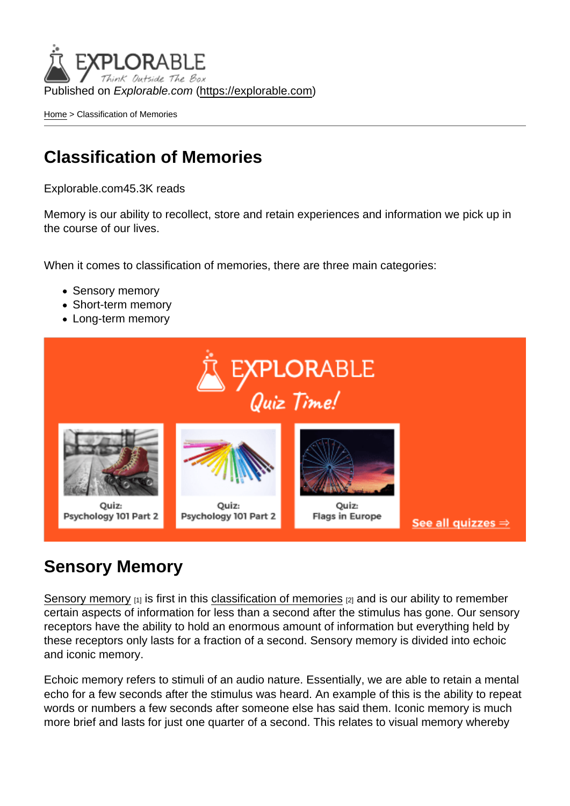Published on Explorable.com (<https://explorable.com>)

[Home](https://explorable.com/) > Classification of Memories

## Classification of Memories

Explorable.com45.3K reads

Memory is our ability to recollect, store and retain experiences and information we pick up in the course of our lives.

When it comes to classification of memories, there are three main categories:

- Sensory memory
- Short-term memory
- Long-term memory

## Sensory Memory

[Sensory memory](https://explorable.com/sensory-memory)  $[1]$  is first in this [classification of memories](http://news.softpedia.com/news/A-Memory-Classification-82006.shtml)  $[2]$  and is our ability to remember certain aspects of information for less than a second after the stimulus has gone. Our sensory receptors have the ability to hold an enormous amount of information but everything held by these receptors only lasts for a fraction of a second. Sensory memory is divided into echoic and iconic memory.

Echoic memory refers to stimuli of an audio nature. Essentially, we are able to retain a mental echo for a few seconds after the stimulus was heard. An example of this is the ability to repeat words or numbers a few seconds after someone else has said them. Iconic memory is much more brief and lasts for just one quarter of a second. This relates to visual memory whereby